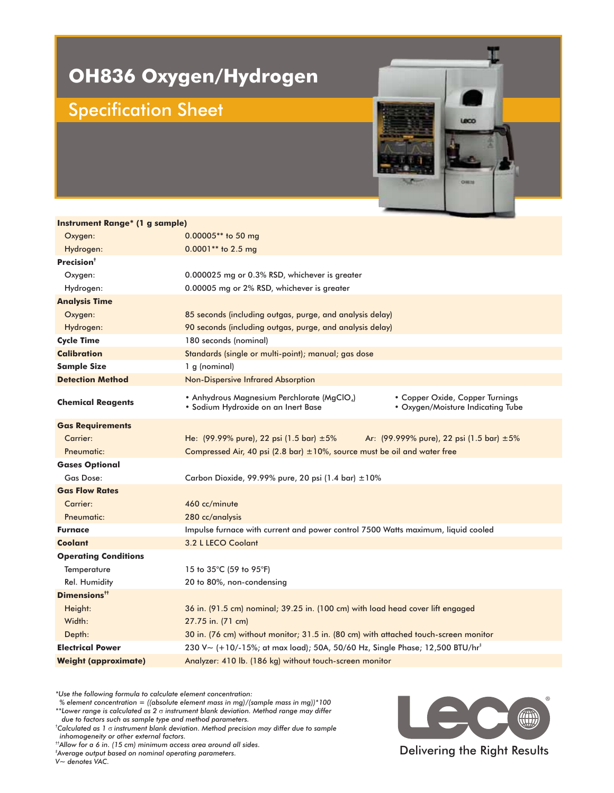## **OH836 Oxygen/Hydrogen**

## Specification Sheet

**Instrument Range\* (1 g sample)**



| <u>Instrument Kange (1 g sample)</u> |                                                                                                                                                           |
|--------------------------------------|-----------------------------------------------------------------------------------------------------------------------------------------------------------|
| Oxygen:                              | 0.00005** to 50 mg                                                                                                                                        |
| Hydrogen:                            | 0.0001** to 2.5 mg                                                                                                                                        |
| Precision <sup>†</sup>               |                                                                                                                                                           |
| Oxygen:                              | 0.000025 mg or 0.3% RSD, whichever is greater                                                                                                             |
| Hydrogen:                            | 0.00005 mg or 2% RSD, whichever is greater                                                                                                                |
| <b>Analysis Time</b>                 |                                                                                                                                                           |
| Oxygen:                              | 85 seconds (including outgas, purge, and analysis delay)                                                                                                  |
| Hydrogen:                            | 90 seconds (including outgas, purge, and analysis delay)                                                                                                  |
| <b>Cycle Time</b>                    | 180 seconds (nominal)                                                                                                                                     |
| <b>Calibration</b>                   | Standards (single or multi-point); manual; gas dose                                                                                                       |
| <b>Sample Size</b>                   | 1 g (nominal)                                                                                                                                             |
| <b>Detection Method</b>              | Non-Dispersive Infrared Absorption                                                                                                                        |
| <b>Chemical Reagents</b>             | • Anhydrous Magnesium Perchlorate (MgClO4)<br>• Copper Oxide, Copper Turnings<br>· Sodium Hydroxide on an Inert Base<br>• Oxygen/Moisture Indicating Tube |
| <b>Gas Requirements</b>              |                                                                                                                                                           |
| Carrier:                             | He: $(99.99\%$ pure), 22 psi $(1.5 \text{ bar}) \pm 5\%$<br>Ar: (99.999% pure), 22 psi (1.5 bar) ±5%                                                      |
| Pneumatic:                           | Compressed Air, 40 psi (2.8 bar) $\pm$ 10%, source must be oil and water free                                                                             |
| <b>Gases Optional</b>                |                                                                                                                                                           |
| Gas Dose:                            | Carbon Dioxide, 99.99% pure, 20 psi (1.4 bar) $\pm 10\%$                                                                                                  |
| <b>Gas Flow Rates</b>                |                                                                                                                                                           |
| Carrier:                             | 460 cc/minute                                                                                                                                             |
| Pneumatic:                           | 280 cc/analysis                                                                                                                                           |
| <b>Furnace</b>                       | Impulse furnace with current and power control 7500 Watts maximum, liquid cooled                                                                          |
| <b>Coolant</b>                       | 3.2 L LECO Coolant                                                                                                                                        |
| <b>Operating Conditions</b>          |                                                                                                                                                           |
| Temperature                          | 15 to 35°C (59 to 95°F)                                                                                                                                   |
| Rel. Humidity                        | 20 to 80%, non-condensing                                                                                                                                 |
| Dimensions <sup>**</sup>             |                                                                                                                                                           |
| Height:                              | 36 in. (91.5 cm) nominal; 39.25 in. (100 cm) with load head cover lift engaged                                                                            |
| Width:                               | 27.75 in. (71 cm)                                                                                                                                         |
| Depth:                               | 30 in. (76 cm) without monitor; 31.5 in. (80 cm) with attached touch-screen monitor                                                                       |
| <b>Electrical Power</b>              | 230 V ~ $(+10/-15%)$ ; at max load); 50A, 50/60 Hz, Single Phase; 12,500 BTU/hr <sup>+</sup>                                                              |
| <b>Weight (approximate)</b>          | Analyzer: 410 lb. (186 kg) without touch-screen monitor                                                                                                   |

*\*Use the following formula to calculate element concentration:*

*% element concentration = ((absolute element mass in mg)/(sample mass in mg))\*100*  $^{**}$ Lower range is calculated as 2  $\sigma$  instrument blank deviation. Method range may differ

*due to factors such as sample type and method parameters.*

 $^\dagger$ Calculated as 1  $\sigma$  instrument blank deviation. Method precision may differ due to sample *inhomogeneity or other external factors.*

*††Allow for a 6 in. (15 cm) minimum access area around all sides.*

*Average output based on nominal operating parameters. ‡*

*V~ denotes VAC.*



Delivering the Right Results